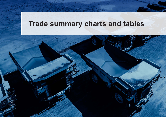# **Trade summary charts and tables**

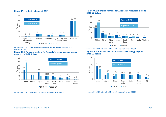# **Figure 16.1: Industry shares of GDP**



Source: ABS (2021) Australian National Accounts, National Income, Expenditure & Production, 5204.0

## **Figure 16.2: Principal markets for Australia's resources and energy exports, 2021–22 dollars**



Source: ABS (2021) International Trade in Goods and Services, 5368.0

## **Figure 16.3: Principal markets for Australia's resources exports, 2021–22 dollars**



Source: ABS (2021) International Trade in Goods and Services, 5368.0

## **Figure 16.4: Principal markets for Australia's energy exports, 2021–22 dollars**

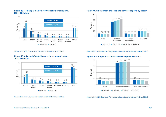

# **Figure 16.5: Principal markets for Australia's total exports, 2021–22 dollars**

Source: ABS (2021) International Trade in Goods and Services, 5368.0

### **Figure 16.6: Australia's total imports by country of origin, 2021–22 dollars**



Source: ABS (2021) International Trade in Goods and Services, 5368.0

# **Figure 16.7: Proportion of goods and services exports by sector**



Source: ABS (2021) Balance of Payments and International Investment Position, 5302.0

# **Figure 16.8: Proportion of merchandise exports by sector**



Source: ABS (2021) Balance of Payments and International Investment Position, 5302.0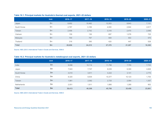|              | <b>Unit</b>   | 2016-17 | $2017 - 18$ | $2018 - 19$ | $2019 - 20$ | $2020 - 21$ |
|--------------|---------------|---------|-------------|-------------|-------------|-------------|
| Japan        | \$m\$         | 8,952   | 10,492      | 12,203      | 8,643       | 7,131       |
| South Korea  | $\mathsf{Sm}$ | 2,787   | 3,169       | 4,000       | 2,944       | 2,617       |
| Taiwan       | \$m\$         | 2,456   | 2,742       | 3,318       | 2,470       | 2,099       |
| Vietnam      | $\mathsf{Sm}$ | 159     | 136         | 697         | 1,078       | 725         |
| Malaysia     | \$m\$         | 700     | 797         | 949         | 553         | 570         |
| Thailand     | $\mathsf{Sm}$ | 316     | 395         | 420         | 447         | 528         |
| <b>Total</b> | \$m\$         | 20,656  | 24,215      | 27,379      | 21,207      | 16,385      |

# **Table 16.1: Principal markets for Australia's thermal coal exports, 2021–22 dollars**

Source: ABS (2021) International Trade in Goods and Services, 5368.0

# **Table 16.2: Principal markets for Australia's metallurgical coal exports, 2021–22 dollars**

|                    | <b>Unit</b> | 2016-17 | $2017 - 18$ | 2018-19 | 2019-20 | $2020 - 21$ |
|--------------------|-------------|---------|-------------|---------|---------|-------------|
| India              | \$m         | 9,098   | 10,114      | 11,796  | 7,755   | 7,723       |
| Japan              | \$m         | 7,543   | 7,747       | 8,035   | 6,300   | 4,826       |
| South Korea        | \$m         | 4,010   | 3,911       | 4,222   | 3,141   | 2,775       |
| China              | \$m         | 8,320   | 8,934       | 10,377  | 10,123  | 1,700       |
| Taiwan             | \$m         | 1,981   | 2,062       | 2,725   | 2,064   | 1,357       |
| <b>Netherlands</b> | \$m\$       | 2,051   | 1,911       | 1,880   | 1,285   | 902         |
| <b>Total</b>       | \$m         | 38,413  | 40,308      | 45,786  | 35,458  | 23,801      |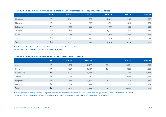# **Table 16.3: Principal markets for Australia's crude oil and refinery feedstocks exports, 2021–22 dollars**

|              | <b>Unit</b> | 2016-17 | $2017 - 18$ | 2018-19 | $2019 - 20$ | $2020 - 21$ |
|--------------|-------------|---------|-------------|---------|-------------|-------------|
| Singapore    | \$m         | 1,101   | 1,252       | 2,042   | 1,408       | 1,692       |
| Malaysia     | \$m         | 464     | 625         | 1,721   | 1,049       | 670         |
| Indonesia    | \$m         | 998     | 1,395       | 680     | 788         | 628         |
| Thailand     | \$m         | 612     | 1,230       | 1,175   | 640         | 371         |
| China        | \$m         | 769     | 672         | 1,058   | 1,069       | 164         |
| Japan        | \$m         | 387     | 384         | 315     | 142         | 93          |
| <b>Total</b> | \$m         | 5,953   | 7,421       | 9,518   | 9,328       | 7,575       |

Note: Some country details have been confidentialised by the Australian Bureau of Statistics.

Source: ABS (2021) International Trade in Goods and Services, 5368.0

# **Table 16.4: Principal markets for Australia's LNG exports, 2021–22 dollars**

|              | <b>Unit</b> | 2016-17 | $2017 - 18$ | 2018-19 | 2019-20 | $2020 - 21$ |
|--------------|-------------|---------|-------------|---------|---------|-------------|
| Japan        | \$m         | 12,297  | 15,477      | 22,255  | 20,634  | 11,893      |
| China        | \$m         | 6,201   | 10,197      | 18,343  | 16,853  | 11,601      |
| South Korea  | \$m         | 2,778   | 3,933       | 5,568   | 5,344   | 3,414       |
| Taiwan       | \$m         | 276     | 797         | 2,459   | 2,685   | 2,285       |
| Singapore    | \$m         | 1,555   | 1,211       | 1,298   | 1,076   | 841         |
| Malaysia     | \$m         | 227     | 388         | 915     | 1,507   | 508         |
| <b>Total</b> | \$m         | 24,251  | 32,963      | 52,177  | 49,208  | 31,053      |

Notes: Department of Industry, Science, Energy and Resources estimates based on International Trade Centre data, except for 2016–17 where ABS trade data is available. Source: ABS (2021) International Trade in Goods and Services, 5368.0; International Trade Centre (2021) International Trade Statistics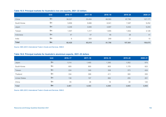# **Table 16.5: Principal markets for Australia's iron ore exports, 2021–22 dollars**

|              | <b>Unit</b> | 2016-17 | $2017 - 18$ | 2018-19 | $2019 - 20$ | $2020 - 21$ |
|--------------|-------------|---------|-------------|---------|-------------|-------------|
| China        | \$m\$       | 56,027  | 53,454      | 66,593  | 87,790      | 127,177     |
| South Korea  | \$m         | 5,856   | 5,686       | 6,041   | 7,287       | 9,252       |
| Japan        | \$m\$       | 4,248   | 3,846       | 4,897   | 6,442       | 9,204       |
| Taiwan       | \$m\$       | 1,557   | 1,317       | 1,855   | 1,942       | 3,128       |
| Indonesia    | \$m         | 47      | 47          | 46      | 28          | 41          |
| India        | \$m\$       | 6       | 320         | 249     | 21          | 10          |
| <b>Total</b> | \$m\$       | 68,428  | 65,819      | 81,798  | 107,061     | 156,675     |

Source: ABS (2021) International Trade in Goods and Services, 5368.0

# **Table 16.6: Principal markets for Australia's aluminium exports, 2021–22 dollars**

|                      | <b>Unit</b> | 2016-17 | $2017 - 18$ | $2018 - 19$ | 2019-20 | $2020 - 21$ |
|----------------------|-------------|---------|-------------|-------------|---------|-------------|
| Japan                | \$m\$       | 1,014   | 1,465       | 1,385       | 1,052   | 974         |
| South Korea          | \$m\$       | 805     | 900         | 805         | 1,179   | 923         |
| Taiwan               | \$m         | 224     | 349         | 308         | 373     | 424         |
| Thailand             | \$m\$       | 334     | 399         | 411         | 300     | 355         |
| <b>United States</b> | \$m\$       | 138     | 197         | 882         | 255     | 261         |
| China                | \$m\$       | 55      | 36          | 18          | 30      | 120         |
| <b>Total</b>         | \$m         | 3,461   | 4,303       | 4,394       | 3,843   | 3,854       |